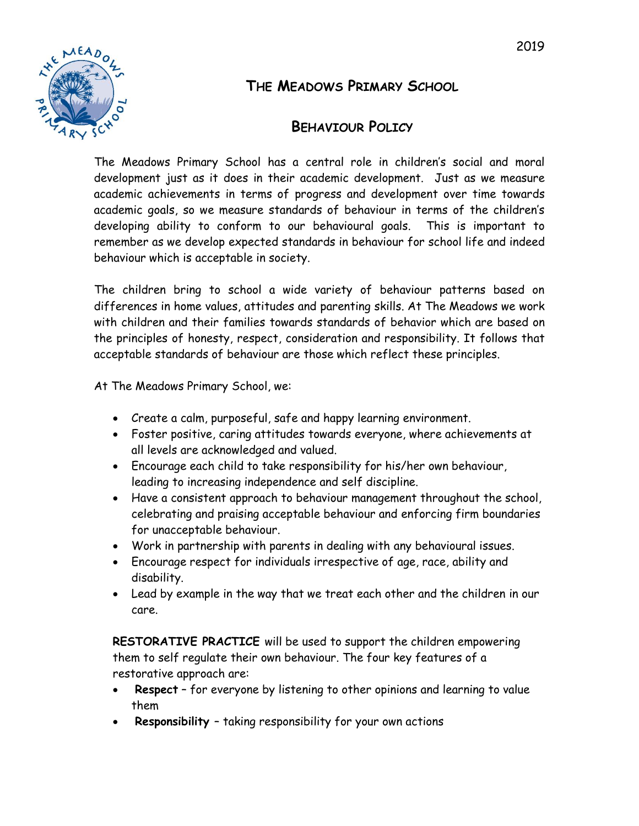



# **THE MEADOWS PRIMARY SCHOOL**

# **BEHAVIOUR POLICY**

The Meadows Primary School has a central role in children's social and moral development just as it does in their academic development. Just as we measure academic achievements in terms of progress and development over time towards academic goals, so we measure standards of behaviour in terms of the children's developing ability to conform to our behavioural goals. This is important to remember as we develop expected standards in behaviour for school life and indeed behaviour which is acceptable in society.

The children bring to school a wide variety of behaviour patterns based on differences in home values, attitudes and parenting skills. At The Meadows we work with children and their families towards standards of behavior which are based on the principles of honesty, respect, consideration and responsibility. It follows that acceptable standards of behaviour are those which reflect these principles.

At The Meadows Primary School, we:

- Create a calm, purposeful, safe and happy learning environment.
- Foster positive, caring attitudes towards everyone, where achievements at all levels are acknowledged and valued.
- Encourage each child to take responsibility for his/her own behaviour, leading to increasing independence and self discipline.
- Have a consistent approach to behaviour management throughout the school, celebrating and praising acceptable behaviour and enforcing firm boundaries for unacceptable behaviour.
- Work in partnership with parents in dealing with any behavioural issues.
- Encourage respect for individuals irrespective of age, race, ability and disability.
- Lead by example in the way that we treat each other and the children in our care.

**RESTORATIVE PRACTICE** will be used to support the children empowering them to self regulate their own behaviour. The four key features of a restorative approach are:

- **Respect** for everyone by listening to other opinions and learning to value them
- **Responsibility**  taking responsibility for your own actions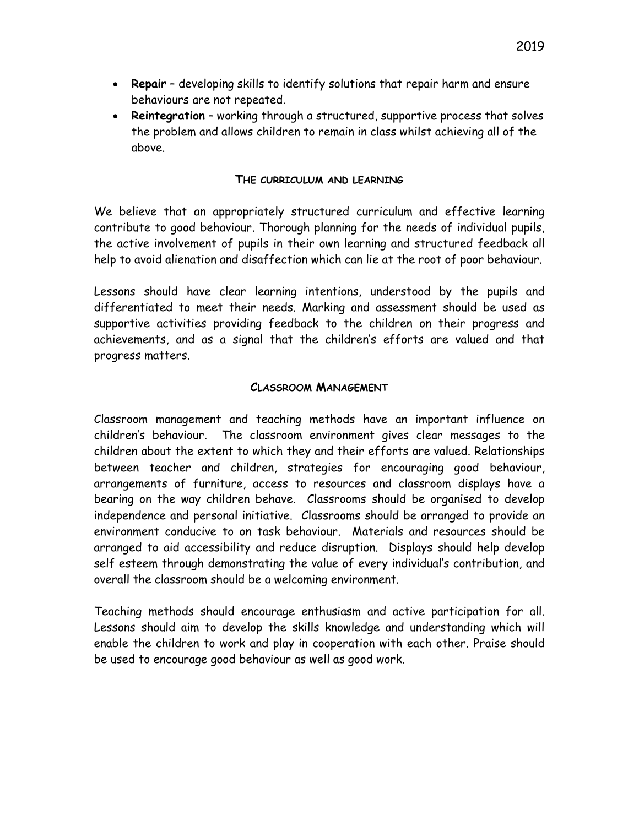- **Repair** developing skills to identify solutions that repair harm and ensure behaviours are not repeated.
- **Reintegration** working through a structured, supportive process that solves the problem and allows children to remain in class whilst achieving all of the above.

#### **THE CURRICULUM AND LEARNING**

We believe that an appropriately structured curriculum and effective learning contribute to good behaviour. Thorough planning for the needs of individual pupils, the active involvement of pupils in their own learning and structured feedback all help to avoid alienation and disaffection which can lie at the root of poor behaviour.

Lessons should have clear learning intentions, understood by the pupils and differentiated to meet their needs. Marking and assessment should be used as supportive activities providing feedback to the children on their progress and achievements, and as a signal that the children's efforts are valued and that progress matters.

#### **CLASSROOM MANAGEMENT**

Classroom management and teaching methods have an important influence on children's behaviour. The classroom environment gives clear messages to the children about the extent to which they and their efforts are valued. Relationships between teacher and children, strategies for encouraging good behaviour, arrangements of furniture, access to resources and classroom displays have a bearing on the way children behave. Classrooms should be organised to develop independence and personal initiative. Classrooms should be arranged to provide an environment conducive to on task behaviour. Materials and resources should be arranged to aid accessibility and reduce disruption. Displays should help develop self esteem through demonstrating the value of every individual's contribution, and overall the classroom should be a welcoming environment.

Teaching methods should encourage enthusiasm and active participation for all. Lessons should aim to develop the skills knowledge and understanding which will enable the children to work and play in cooperation with each other. Praise should be used to encourage good behaviour as well as good work.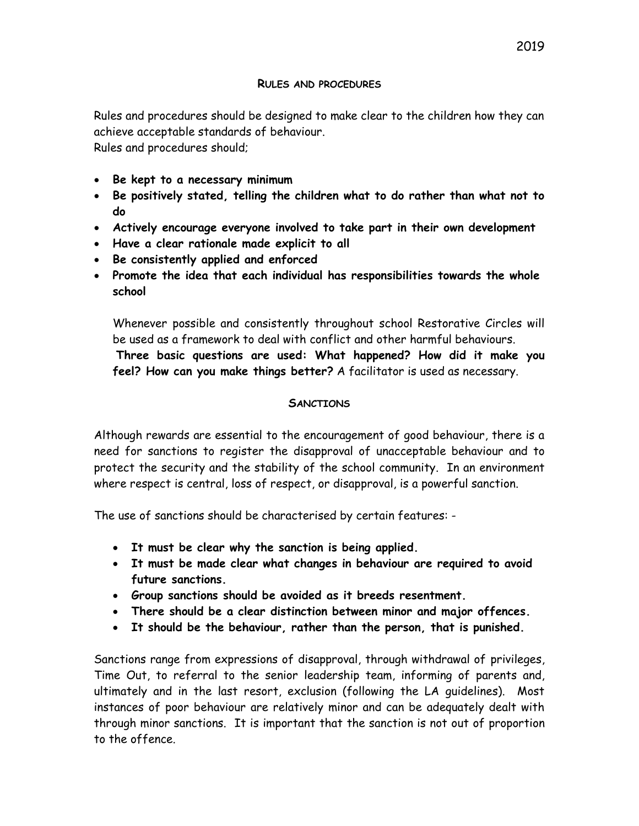Rules and procedures should be designed to make clear to the children how they can achieve acceptable standards of behaviour. Rules and procedures should;

- **Be kept to a necessary minimum**
- **Be positively stated, telling the children what to do rather than what not to do**
- **Actively encourage everyone involved to take part in their own development**
- **Have a clear rationale made explicit to all**
- **Be consistently applied and enforced**
- **Promote the idea that each individual has responsibilities towards the whole school**

Whenever possible and consistently throughout school Restorative Circles will be used as a framework to deal with conflict and other harmful behaviours.

**Three basic questions are used: What happened? How did it make you feel? How can you make things better?** A facilitator is used as necessary.

### **SANCTIONS**

Although rewards are essential to the encouragement of good behaviour, there is a need for sanctions to register the disapproval of unacceptable behaviour and to protect the security and the stability of the school community. In an environment where respect is central, loss of respect, or disapproval, is a powerful sanction.

The use of sanctions should be characterised by certain features: -

- **It must be clear why the sanction is being applied.**
- **It must be made clear what changes in behaviour are required to avoid future sanctions.**
- **Group sanctions should be avoided as it breeds resentment.**
- **There should be a clear distinction between minor and major offences.**
- **It should be the behaviour, rather than the person, that is punished.**

Sanctions range from expressions of disapproval, through withdrawal of privileges, Time Out, to referral to the senior leadership team, informing of parents and, ultimately and in the last resort, exclusion (following the LA guidelines). Most instances of poor behaviour are relatively minor and can be adequately dealt with through minor sanctions. It is important that the sanction is not out of proportion to the offence.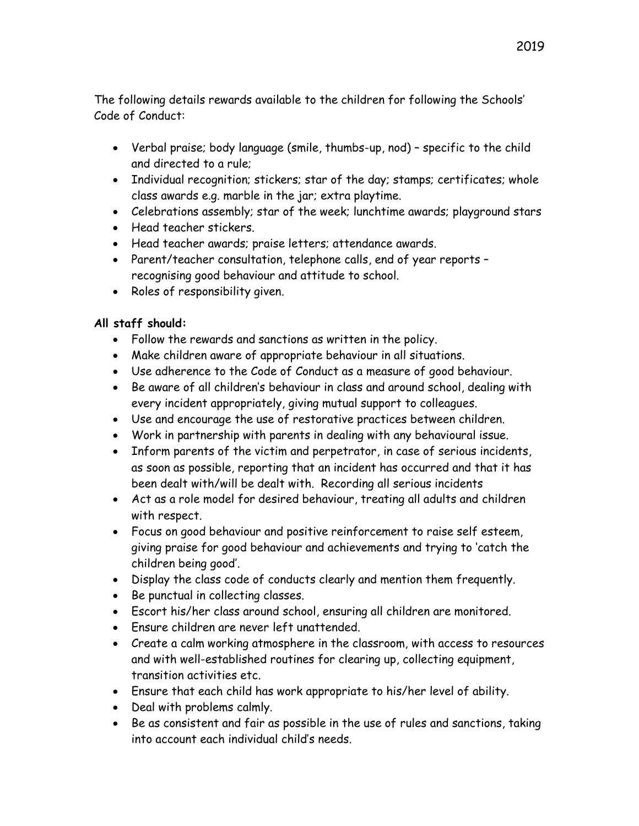The following details rewards available to the children for following the Schools' Code of Conduct:

- Verbal praise; body language (smile, thumbs-up, nod) specific to the child and directed to a rule;
- Individual recognition; stickers; star of the day; stamps; certificates; whole class awards e.g. marble in the jar; extra playtime.
- Celebrations assembly; star of the week; lunchtime awards; playground stars
- Head teacher stickers.
- Head teacher awards; praise letters; attendance awards.
- Parent/teacher consultation, telephone calls, end of year reports recognising good behaviour and attitude to school.
- Roles of responsibility given.

### **All staff should:**

- Follow the rewards and sanctions as written in the policy.
- Make children aware of appropriate behaviour in all situations.
- Use adherence to the Code of Conduct as a measure of good behaviour.
- Be aware of all children's behaviour in class and around school, dealing with every incident appropriately, giving mutual support to colleagues.
- Use and encourage the use of restorative practices between children.
- Work in partnership with parents in dealing with any behavioural issue.
- Inform parents of the victim and perpetrator, in case of serious incidents, as soon as possible, reporting that an incident has occurred and that it has been dealt with/will be dealt with. Recording all serious incidents
- Act as a role model for desired behaviour, treating all adults and children with respect.
- Focus on good behaviour and positive reinforcement to raise self esteem, giving praise for good behaviour and achievements and trying to 'catch the children being good'.
- Display the class code of conducts clearly and mention them frequently.
- Be punctual in collecting classes.
- Escort his/her class around school, ensuring all children are monitored.
- Ensure children are never left unattended.
- Create a calm working atmosphere in the classroom, with access to resources and with well-established routines for clearing up, collecting equipment, transition activities etc.
- Ensure that each child has work appropriate to his/her level of ability.
- Deal with problems calmly.
- Be as consistent and fair as possible in the use of rules and sanctions, taking into account each individual child's needs.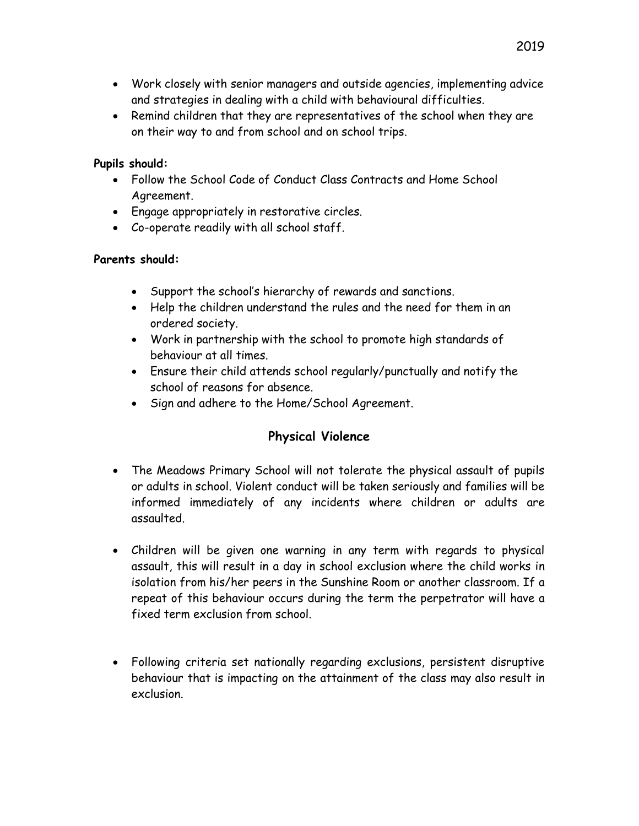- Work closely with senior managers and outside agencies, implementing advice and strategies in dealing with a child with behavioural difficulties.
- Remind children that they are representatives of the school when they are on their way to and from school and on school trips.

#### **Pupils should:**

- Follow the School Code of Conduct Class Contracts and Home School Agreement.
- Engage appropriately in restorative circles.
- Co-operate readily with all school staff.

#### **Parents should:**

- Support the school's hierarchy of rewards and sanctions.
- Help the children understand the rules and the need for them in an ordered society.
- Work in partnership with the school to promote high standards of behaviour at all times.
- Ensure their child attends school regularly/punctually and notify the school of reasons for absence.
- Sign and adhere to the Home/School Agreement.

## **Physical Violence**

- The Meadows Primary School will not tolerate the physical assault of pupils or adults in school. Violent conduct will be taken seriously and families will be informed immediately of any incidents where children or adults are assaulted.
- Children will be given one warning in any term with regards to physical assault, this will result in a day in school exclusion where the child works in isolation from his/her peers in the Sunshine Room or another classroom. If a repeat of this behaviour occurs during the term the perpetrator will have a fixed term exclusion from school.
- Following criteria set nationally regarding exclusions, persistent disruptive behaviour that is impacting on the attainment of the class may also result in exclusion.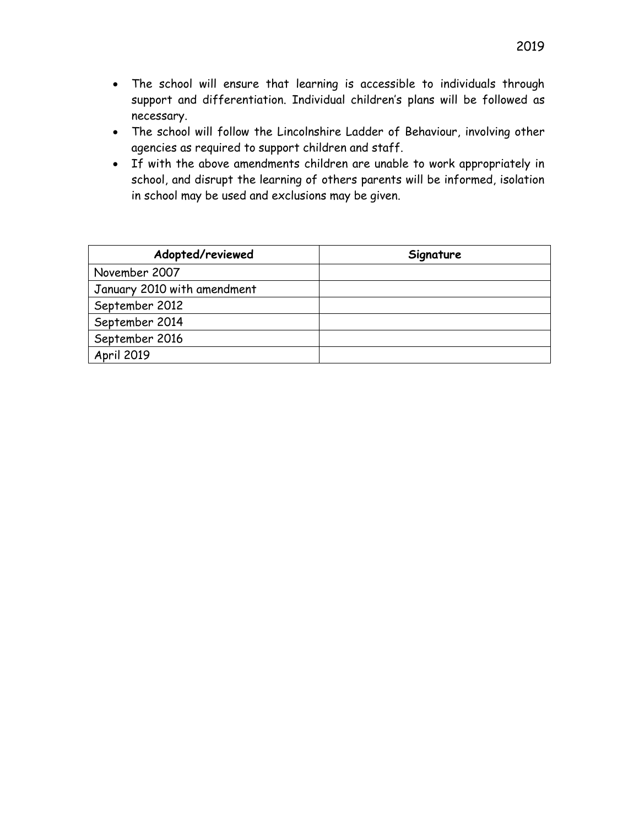- The school will ensure that learning is accessible to individuals through support and differentiation. Individual children's plans will be followed as necessary.
- The school will follow the Lincolnshire Ladder of Behaviour, involving other agencies as required to support children and staff.
- If with the above amendments children are unable to work appropriately in school, and disrupt the learning of others parents will be informed, isolation in school may be used and exclusions may be given.

| Adopted/reviewed            | Signature |
|-----------------------------|-----------|
| November 2007               |           |
| January 2010 with amendment |           |
| September 2012              |           |
| September 2014              |           |
| September 2016              |           |
| <b>April 2019</b>           |           |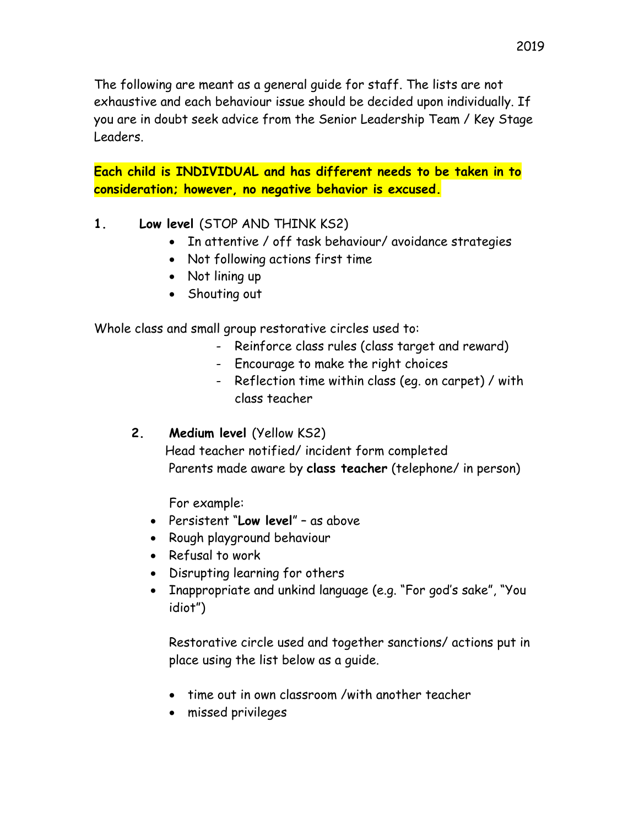The following are meant as a general guide for staff. The lists are not exhaustive and each behaviour issue should be decided upon individually. If you are in doubt seek advice from the Senior Leadership Team / Key Stage Leaders.

**Each child is INDIVIDUAL and has different needs to be taken in to consideration; however, no negative behavior is excused.**

- **1. Low level** (STOP AND THINK KS2)
	- In attentive / off task behaviour/ avoidance strategies
	- Not following actions first time
	- Not lining up
	- Shouting out

Whole class and small group restorative circles used to:

- Reinforce class rules (class target and reward)
- Encourage to make the right choices
- Reflection time within class (eg. on carpet) / with class teacher
- **2. Medium level** (Yellow KS2)

 Head teacher notified/ incident form completed Parents made aware by **class teacher** (telephone/ in person)

For example:

- Persistent "**Low level**" as above
- Rough playground behaviour
- Refusal to work
- Disrupting learning for others
- Inappropriate and unkind language (e.g. "For god's sake", "You idiot")

Restorative circle used and together sanctions/ actions put in place using the list below as a guide.

- time out in own classroom /with another teacher
- missed privileges